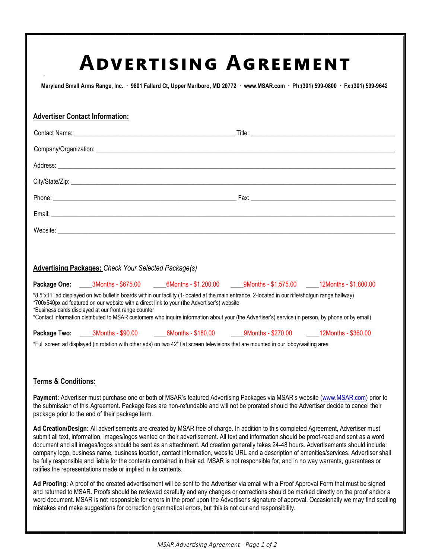# **Advertising Agreement**

**Maryland Small Arms Range, Inc. · 9801 Fallard Ct, Upper Marlboro, MD 20772 · www.MSAR.com · Ph:(301) 599-0800 · Fx:(301) 599-9642**

| <b>Advertiser Contact Information:</b>                                                                                                                                                                                                                                                                                                                                                                                                                        |  |                                                                                                                                      |  |  |  |
|---------------------------------------------------------------------------------------------------------------------------------------------------------------------------------------------------------------------------------------------------------------------------------------------------------------------------------------------------------------------------------------------------------------------------------------------------------------|--|--------------------------------------------------------------------------------------------------------------------------------------|--|--|--|
|                                                                                                                                                                                                                                                                                                                                                                                                                                                               |  |                                                                                                                                      |  |  |  |
|                                                                                                                                                                                                                                                                                                                                                                                                                                                               |  |                                                                                                                                      |  |  |  |
|                                                                                                                                                                                                                                                                                                                                                                                                                                                               |  |                                                                                                                                      |  |  |  |
|                                                                                                                                                                                                                                                                                                                                                                                                                                                               |  |                                                                                                                                      |  |  |  |
|                                                                                                                                                                                                                                                                                                                                                                                                                                                               |  |                                                                                                                                      |  |  |  |
|                                                                                                                                                                                                                                                                                                                                                                                                                                                               |  |                                                                                                                                      |  |  |  |
|                                                                                                                                                                                                                                                                                                                                                                                                                                                               |  |                                                                                                                                      |  |  |  |
|                                                                                                                                                                                                                                                                                                                                                                                                                                                               |  |                                                                                                                                      |  |  |  |
| <b>Advertising Packages: Check Your Selected Package(s)</b>                                                                                                                                                                                                                                                                                                                                                                                                   |  |                                                                                                                                      |  |  |  |
|                                                                                                                                                                                                                                                                                                                                                                                                                                                               |  | Package One: _____3Months - \$675.00 _____6Months - \$1,200.00 ____9Months - \$1,575.00 ____12Months - \$1,800.00                    |  |  |  |
| *8.5"x11" ad displayed on two bulletin boards within our facility (1-located at the main entrance, 2-located in our rifle/shotgun range hallway)<br>*700x540px ad featured on our website with a direct link to your (the Advertiser's) website<br>*Business cards displayed at our front range counter<br>*Contact information distributed to MSAR customers who inquire information about your (the Advertiser's) service (in person, by phone or by email) |  |                                                                                                                                      |  |  |  |
|                                                                                                                                                                                                                                                                                                                                                                                                                                                               |  | Package Two: _____3Months - \$90.00 _______6Months - \$180.00 ______9Months - \$270.00 ______12Months - \$360.00                     |  |  |  |
|                                                                                                                                                                                                                                                                                                                                                                                                                                                               |  | *Full screen ad displayed (in rotation with other ads) on two 42" flat screen televisions that are mounted in our lobby/waiting area |  |  |  |

## **Terms & Conditions:**

**Payment:** Advertiser must purchase one or both of MSAR's featured Advertising Packages via MSAR's website (www.MSAR.com) prior to the submission of this Agreement. Package fees are non-refundable and will not be prorated should the Advertiser decide to cancel their package prior to the end of their package term.

**Ad Creation/Design:** All advertisements are created by MSAR free of charge. In addition to this completed Agreement, Advertiser must submit all text, information, images/logos wanted on their advertisement. All text and information should be proof-read and sent as a word document and all images/logos should be sent as an attachment. Ad creation generally takes 24-48 hours. Advertisements should include: company logo, business name, business location, contact information, website URL and a description of amenities/services. Advertiser shall be fully responsible and liable for the contents contained in their ad. MSAR is not responsible for, and in no way warrants, guarantees or ratifies the representations made or implied in its contents.

**Ad Proofing:** A proof of the created advertisement will be sent to the Advertiser via email with a Proof Approval Form that must be signed and returned to MSAR. Proofs should be reviewed carefully and any changes or corrections should be marked directly on the proof and/or a word document. MSAR is not responsible for errors in the proof upon the Advertiser's signature of approval. Occasionally we may find spelling mistakes and make suggestions for correction grammatical errors, but this is not our end responsibility.